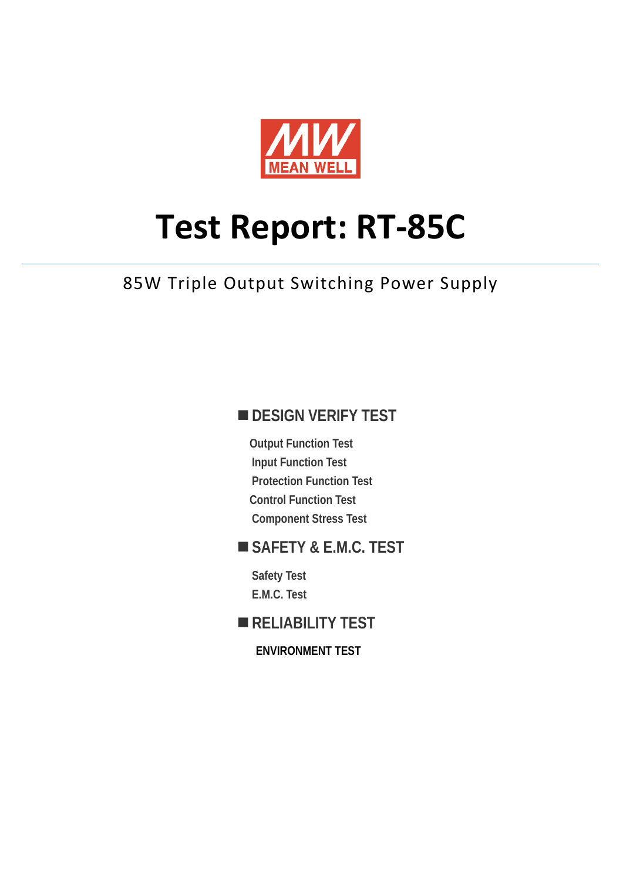

# **Test Report: RT-85C**

# 85W Triple Output Switching Power Supply

## **DESIGN VERIFY TEST**

**Output Function Test Input Function Test Protection Function Test Control Function Test Component Stress Test** 

### **SAFETY & E.M.C. TEST**

**Safety Test E.M.C. Test** 

# **RELIABILITY TEST**

**ENVIRONMENT TEST**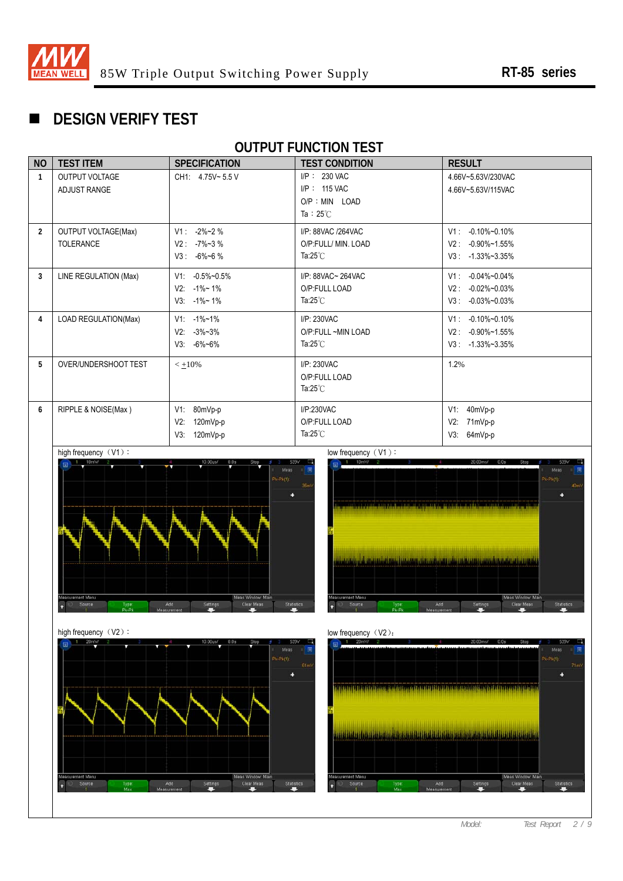

# **DESIGN VERIFY TEST**

## **OUTPUT FUNCTION TEST**

| <b>NO</b>      | <b>TEST ITEM</b>                               | <b>SPECIFICATION</b>                                                  | <b>TEST CONDITION</b>                                                  | <b>RESULT</b>                                                                          |
|----------------|------------------------------------------------|-----------------------------------------------------------------------|------------------------------------------------------------------------|----------------------------------------------------------------------------------------|
| 1              | <b>OUTPUT VOLTAGE</b><br>ADJUST RANGE          | CH1: 4.75V~5.5 V                                                      | I/P: 230 VAC<br>I/P: 115 VAC<br>$O/P : MIN$ LOAD<br>Ta: $25^{\circ}$ C | 4.66V~5.63V/230VAC<br>4.66V~5.63V/115VAC                                               |
| $\overline{2}$ | <b>OUTPUT VOLTAGE(Max)</b><br><b>TOLERANCE</b> | $V1: -2\%~2\%$<br>$V2: -7\%~3\%$<br>$V3: -6\%~6%$                     | I/P: 88VAC /264VAC<br>O/P:FULL/ MIN. LOAD<br>Ta: $25^{\circ}$ C        | $-0.10\% - 0.10\%$<br>$V1$ :<br>$V2: -0.90\% \sim 1.55\%$<br>$V3: -1.33\% \sim 3.35\%$ |
| 3              | LINE REGULATION (Max)                          | $V1: -0.5\% \sim 0.5\%$<br>$V2: -1\% \sim 1\%$<br>$V3: -1\% \sim 1\%$ | I/P: 88VAC~ 264VAC<br>O/P:FULL LOAD<br>Ta: $25^{\circ}$ C              | $-0.04\% - 0.04\%$<br>V1:<br>$-0.02\% - 0.03\%$<br>V2:<br>$-0.03\% - 0.03\%$<br>V3:    |
| 4              | LOAD REGULATION(Max)                           | $V1: -1\% - 1\%$<br>$V2: -3\% - 3\%$<br>$V3: -6\% - 6\%$              | I/P: 230VAC<br>O/P:FULL ~MIN LOAD<br>Ta: $25^{\circ}$ C                | $-0.10\% - 0.10\%$<br>V1:<br>$V2: -0.90\% \sim 1.55\%$<br>$V3: -1.33\% \sim 3.35\%$    |
| 5              | OVER/UNDERSHOOT TEST                           | $< +10%$                                                              | I/P: 230VAC<br>O/P:FULL LOAD<br>Ta: $25^{\circ}$ C                     | 1.2%                                                                                   |
| 6              | RIPPLE & NOISE(Max)                            | 80mVp-p<br>V1:<br>V2:<br>120mVp-p<br>V3:<br>120mVp-p                  | I/P:230VAC<br>O/P:FULL LOAD<br>Ta: $25^{\circ}$ C                      | 40mVp-p<br>V1:<br>V2:<br>71mVp-p<br>64mVp-p<br>V3:                                     |







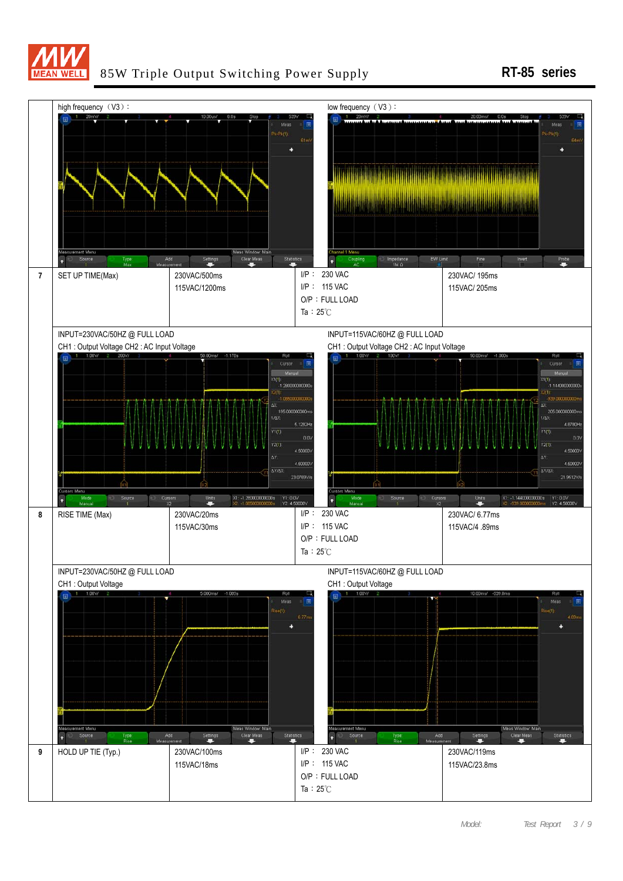

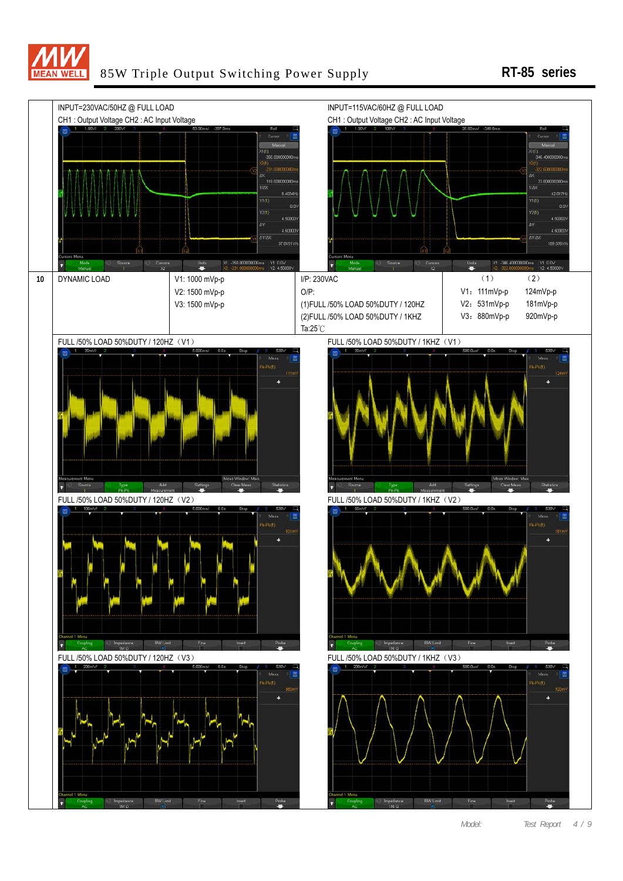

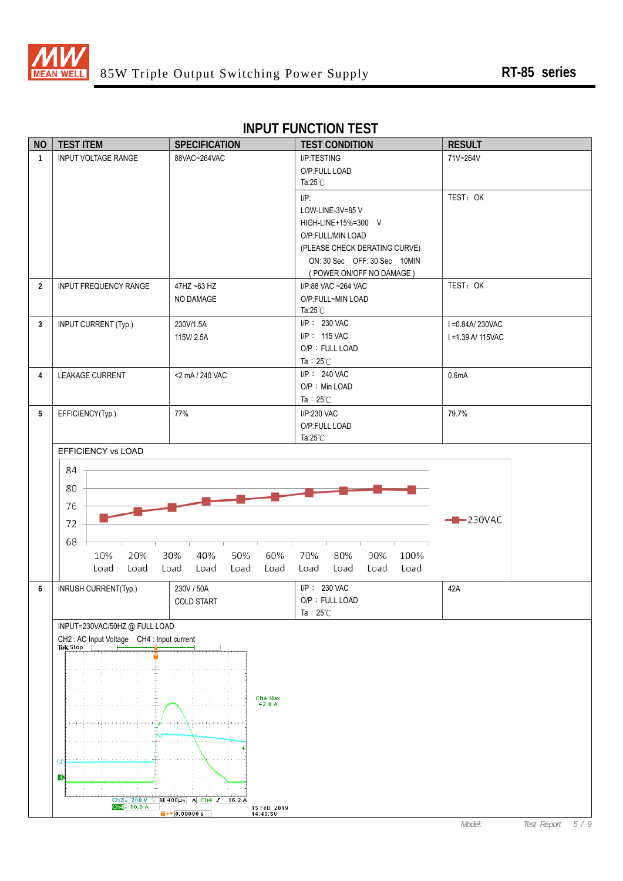

| <b>NO</b>      | <b>TEST ITEM</b>                         | <b>SPECIFICATION</b>                                  | <b>TEST CONDITION</b>              | <b>RESULT</b>                          |
|----------------|------------------------------------------|-------------------------------------------------------|------------------------------------|----------------------------------------|
| $\overline{1}$ | <b>INPUT VOLTAGE RANGE</b>               | 88VAC~264VAC                                          | I/P:TESTING                        | 71V~264V                               |
|                |                                          |                                                       | O/P:FULL LOAD                      |                                        |
|                |                                          |                                                       | Ta: $25^{\circ}$ C                 |                                        |
|                |                                          |                                                       | $I/P$ :                            | TEST: OK                               |
|                |                                          |                                                       | LOW-LINE-3V=85 V                   |                                        |
|                |                                          |                                                       | HIGH-LINE+15%=300 V                |                                        |
|                |                                          |                                                       | O/P:FULL/MIN LOAD                  |                                        |
|                |                                          |                                                       | (PLEASE CHECK DERATING CURVE)      |                                        |
|                |                                          |                                                       | ON: 30 Sec OFF: 30 Sec 10MIN       |                                        |
|                |                                          |                                                       | (POWER ON/OFF NO DAMAGE)           |                                        |
| $\overline{2}$ | <b>INPUT FREQUENCY RANGE</b>             | 47HZ ~63 HZ                                           | I/P:88 VAC ~264 VAC                | TEST: OK                               |
|                |                                          | NO DAMAGE                                             | O/P:FULL~MIN LOAD                  |                                        |
|                |                                          |                                                       | Ta: $25^{\circ}$ C<br>I/P: 230 VAC |                                        |
| 3              | <b>INPUT CURRENT (Typ.)</b>              | 230V/1.5A<br>115V/2.5A                                | I/P: 115 VAC                       | I = 0.84A/230VAC<br>I = 1.39 A/ 115VAC |
|                |                                          |                                                       | O/P: FULL LOAD                     |                                        |
|                |                                          |                                                       | Ta: $25^{\circ}$ C                 |                                        |
| $\overline{4}$ | <b>LEAKAGE CURRENT</b>                   | <2 mA / 240 VAC                                       | I/P: 240 VAC                       | 0.6 <sub>m</sub> A                     |
|                |                                          |                                                       | O/P: Min LOAD                      |                                        |
|                |                                          |                                                       | Ta: $25^{\circ}$ C                 |                                        |
| 5              | EFFICIENCY(Typ.)                         | 77%                                                   | I/P:230 VAC                        | 79.7%                                  |
|                |                                          |                                                       | O/P:FULL LOAD                      |                                        |
|                |                                          |                                                       | Ta: $25^{\circ}$ C                 |                                        |
|                | EFFICIENCY vs LOAD                       |                                                       |                                    |                                        |
|                | 84                                       |                                                       |                                    |                                        |
|                |                                          |                                                       |                                    |                                        |
|                | 80                                       |                                                       |                                    |                                        |
|                | 76                                       |                                                       |                                    |                                        |
|                | 72                                       |                                                       |                                    | $-230VAC$                              |
|                |                                          |                                                       |                                    |                                        |
|                | 68                                       |                                                       |                                    |                                        |
|                | 20%<br>10%                               | 50%<br>30%<br>40%<br>60%                              | 70%<br>80%<br>90%<br>100%          |                                        |
|                | Load<br>Load                             | Load<br>Load<br>Load<br>Load                          | Load<br>Load<br>Load<br>Load       |                                        |
| 6              | INRUSH CURRENT(Typ.)                     | 230V / 50A                                            | I/P: 230 VAC                       | 42A                                    |
|                |                                          | COLD START                                            | O/P: FULL LOAD                     |                                        |
|                |                                          |                                                       | Ta: $25^{\circ}$ C                 |                                        |
|                | INPUT=230VAC/50HZ @ FULL LOAD            |                                                       |                                    |                                        |
|                | CH2: AC Input Voltage CH4: Input current |                                                       |                                    |                                        |
|                | <b>Tek Stop</b>                          |                                                       |                                    |                                        |
|                |                                          |                                                       |                                    |                                        |
|                |                                          |                                                       |                                    |                                        |
|                |                                          | Ch4 Max                                               |                                    |                                        |
|                |                                          | 42.0 A                                                |                                    |                                        |
|                |                                          |                                                       |                                    |                                        |
|                |                                          |                                                       |                                    |                                        |
|                |                                          |                                                       |                                    |                                        |
|                | $\sqrt{2}$                               |                                                       |                                    |                                        |
|                | Đ                                        |                                                       |                                    |                                        |
|                |                                          |                                                       |                                    |                                        |
|                |                                          | Ch2 + 200 V \ M 400us A Ch4 $J$ 16.2 A                |                                    |                                        |
|                | Ch $4 + 10.0$ A                          | 15 Feb 2019<br>14:40:56<br>$\overline{u}$ + 0.00000 s |                                    |                                        |

#### **INPUT FUNCTION TEST**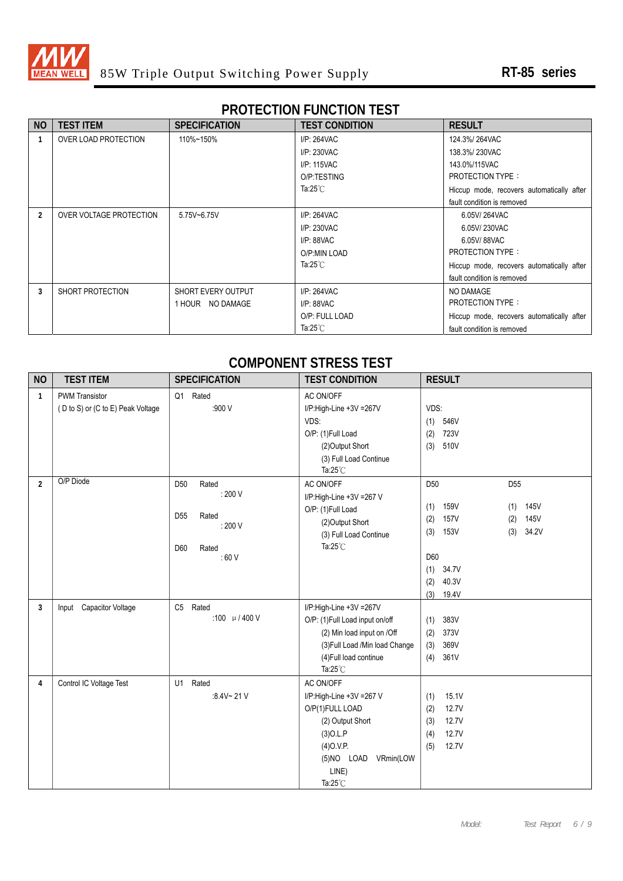

# **PROTECTION FUNCTION TEST**

| <b>NO</b> | <b>TEST ITEM</b>        | <b>SPECIFICATION</b> | <b>TEST CONDITION</b> | <b>RESULT</b>                             |
|-----------|-------------------------|----------------------|-----------------------|-------------------------------------------|
|           | OVER LOAD PROTECTION    | 110%~150%            | I/P: 264VAC           | 124.3%/264VAC                             |
|           |                         |                      | I/P: 230VAC           | 138.3%/230VAC                             |
|           |                         |                      | I/P: 115VAC           | 143.0%/115VAC                             |
|           |                         |                      | O/P:TESTING           | <b>PROTECTION TYPE:</b>                   |
|           |                         |                      | Ta: $25^{\circ}$ C    | Hiccup mode, recovers automatically after |
|           |                         |                      |                       | fault condition is removed                |
| 2         | OVER VOLTAGE PROTECTION | 5.75V~6.75V          | I/P: 264VAC           | 6.05V/264VAC                              |
|           |                         |                      | I/P: 230VAC           | 6.05V/230VAC                              |
|           |                         |                      | $I/P: 88$ VAC         | 6.05V/88VAC                               |
|           |                         |                      | O/P:MIN LOAD          | <b>PROTECTION TYPE:</b>                   |
|           |                         |                      | Ta: $25^{\circ}$ C    | Hiccup mode, recovers automatically after |
|           |                         |                      |                       | fault condition is removed                |
| 3         | SHORT PROTECTION        | SHORT EVERY OUTPUT   | I/P: 264VAC           | NO DAMAGE                                 |
|           |                         | 1 HOUR NO DAMAGE     | I/P: 88VAC            | <b>PROTECTION TYPE:</b>                   |
|           |                         |                      | O/P: FULL LOAD        | Hiccup mode, recovers automatically after |
|           |                         |                      | Ta:25 $°C$            | fault condition is removed                |

#### **COMPONENT STRESS TEST**

| <b>NO</b>      | <b>TEST ITEM</b>                                           | <b>SPECIFICATION</b>                                                                              | <b>TEST CONDITION</b>                                                                                                                                                     | <b>RESULT</b>                                                                                                                                                                        |
|----------------|------------------------------------------------------------|---------------------------------------------------------------------------------------------------|---------------------------------------------------------------------------------------------------------------------------------------------------------------------------|--------------------------------------------------------------------------------------------------------------------------------------------------------------------------------------|
| 1              | <b>PWM Transistor</b><br>(D to S) or (C to E) Peak Voltage | Q1 Rated<br>:900 V                                                                                | AC ON/OFF<br>I/P:High-Line +3V =267V<br>VDS:<br>O/P: (1)Full Load<br>(2) Output Short<br>(3) Full Load Continue<br>Ta: $25^{\circ}$ C                                     | VDS:<br>546V<br>(1)<br>(2)<br>723V<br>510V<br>(3)                                                                                                                                    |
| $\overline{2}$ | O/P Diode                                                  | D <sub>50</sub><br>Rated<br>: 200 V<br>D <sub>55</sub><br>Rated<br>: 200V<br>Rated<br>D60<br>:60V | AC ON/OFF<br>I/P:High-Line +3V =267 V<br>O/P: (1)Full Load<br>(2) Output Short<br>(3) Full Load Continue<br>Ta: $25^{\circ}$ C                                            | D <sub>50</sub><br>D <sub>55</sub><br>159V<br>(1)<br>(1)<br>145V<br>(2)<br>157V<br>(2)<br>145V<br>153V<br>(3)<br>34.2V<br>(3)<br>D60<br>34.7V<br>(1)<br>40.3V<br>(2)<br>19.4V<br>(3) |
| 3              | Input Capacitor Voltage                                    | Rated<br>C <sub>5</sub><br>:100 $\mu$ / 400 V                                                     | I/P:High-Line +3V =267V<br>O/P: (1)Full Load input on/off<br>(2) Min load input on /Off<br>(3) Full Load /Min load Change<br>(4) Full load continue<br>Ta: $25^{\circ}$ C | 383V<br>(1)<br>373V<br>(2)<br>369V<br>(3)<br>(4)<br>361V                                                                                                                             |
| 4              | Control IC Voltage Test                                    | U1 Rated<br>:8.4V~21V                                                                             | AC ON/OFF<br>I/P:High-Line +3V =267 V<br>O/P(1)FULL LOAD<br>(2) Output Short<br>$(3)$ O.L.P<br>$(4)$ O.V.P.<br>(5)NO LOAD<br>VRmin(LOW<br>LINE)<br>Ta: $25^{\circ}$ C     | 15.1V<br>(1)<br>12.7V<br>(2)<br>12.7V<br>(3)<br>12.7V<br>(4)<br>12.7V<br>(5)                                                                                                         |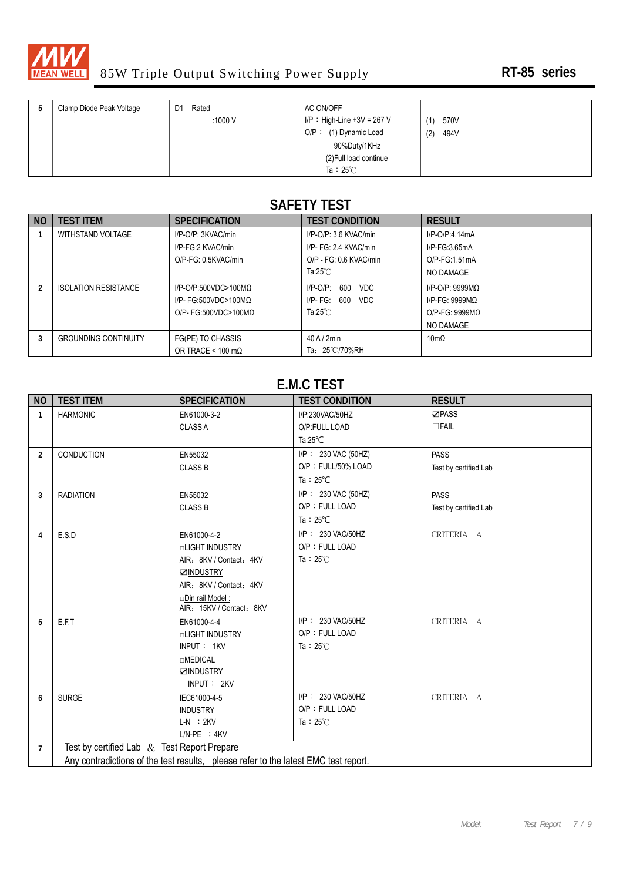

| Clamp Diode Peak Voltage | Rated<br>D1<br>:1000 $V$ | AC ON/OFF<br>I/P: High-Line +3V = 267 V | 570V<br>(1) |
|--------------------------|--------------------------|-----------------------------------------|-------------|
|                          |                          | O/P: (1) Dynamic Load                   | (2)<br>494V |
|                          |                          | 90%Duty/1KHz                            |             |
|                          |                          | (2) Full load continue                  |             |
|                          |                          | Ta: $25^\circ$ C                        |             |

# **SAFETY TEST**

| <b>NO</b> | <b>TEST ITEM</b>            | <b>SPECIFICATION</b>      | <b>TEST CONDITION</b>     | <b>RESULT</b>       |
|-----------|-----------------------------|---------------------------|---------------------------|---------------------|
|           | WITHSTAND VOLTAGE           | I/P-O/P: 3KVAC/min        | $I/P$ -O/P: 3.6 KVAC/min  | I/P-O/P 4.14mA      |
|           |                             | I/P-FG:2 KVAC/min         | I/P- FG: 2.4 KVAC/min     | $I/P$ -FG:3.65mA    |
|           |                             | O/P-FG: 0.5KVAC/min       | O/P - FG: 0.6 KVAC/min    | $O/P-FG:1.51mA$     |
|           |                             |                           | Ta:25 $°C$                | NO DAMAGE           |
|           | <b>ISOLATION RESISTANCE</b> | $I/P$ -O/P:500VDC>100MQ   | $I/P-O/P$ :<br>600<br>VDC | $I/P$ -O/P: 9999MQ  |
|           |                             | I/P- FG:500VDC>100MQ      | VDC<br>600<br>$I/P$ - FG: | $I/P-FG: 9999MQ$    |
|           |                             | $O/P$ - FG:500VDC>100MQ   | Ta:25 $°C$                | $O/P-FG: 9999MO$    |
|           |                             |                           |                           | NO DAMAGE           |
| 3         | <b>GROUNDING CONTINUITY</b> | FG(PE) TO CHASSIS         | $40$ A / $2$ min          | $10 \text{m}\Omega$ |
|           |                             | OR TRACE < 100 m $\Omega$ | Ta: 25℃/70%RH             |                     |

#### **E.M.C TEST**

| <b>NO</b>      | <b>TEST ITEM</b>                                                                    | <b>SPECIFICATION</b>                        | <b>TEST CONDITION</b> | <b>RESULT</b>         |  |  |
|----------------|-------------------------------------------------------------------------------------|---------------------------------------------|-----------------------|-----------------------|--|--|
| $\mathbf{1}$   | <b>HARMONIC</b>                                                                     | EN61000-3-2                                 | I/P:230VAC/50HZ       | <b>⊡PASS</b>          |  |  |
|                |                                                                                     | <b>CLASS A</b>                              | O/P:FULL LOAD         | $\Box$ FAIL           |  |  |
|                |                                                                                     |                                             | Ta: $25^{\circ}$ C    |                       |  |  |
| $\overline{2}$ | CONDUCTION                                                                          | EN55032                                     | I/P: 230 VAC (50HZ)   | <b>PASS</b>           |  |  |
|                |                                                                                     | <b>CLASS B</b>                              | O/P: FULL/50% LOAD    | Test by certified Lab |  |  |
|                |                                                                                     |                                             | Ta: $25^{\circ}$ C    |                       |  |  |
| 3              | <b>RADIATION</b>                                                                    | EN55032                                     | I/P: 230 VAC (50HZ)   | <b>PASS</b>           |  |  |
|                |                                                                                     | <b>CLASS B</b>                              | O/P: FULL LOAD        | Test by certified Lab |  |  |
|                |                                                                                     |                                             | Ta: $25^{\circ}$ C    |                       |  |  |
| 4              | E.S.D                                                                               | EN61000-4-2                                 | I/P: 230 VAC/50HZ     | CRITERIA A            |  |  |
|                |                                                                                     | <b>OLIGHT INDUSTRY</b>                      | O/P: FULL LOAD        |                       |  |  |
|                |                                                                                     | AIR: 8KV / Contact: 4KV                     | Ta: $25^\circ$ C      |                       |  |  |
|                |                                                                                     | <b>ØINDUSTRY</b>                            |                       |                       |  |  |
|                |                                                                                     | AIR: 8KV / Contact: 4KV                     |                       |                       |  |  |
|                |                                                                                     | Din rail Model:<br>AIR: 15KV / Contact: 8KV |                       |                       |  |  |
| 5              | E.F.T                                                                               | EN61000-4-4                                 | I/P: 230 VAC/50HZ     | CRITERIA A            |  |  |
|                |                                                                                     | <b>LIGHT INDUSTRY</b>                       | O/P: FULL LOAD        |                       |  |  |
|                |                                                                                     | INPUT: 1KV                                  | Ta: $25^\circ$ C      |                       |  |  |
|                |                                                                                     | <b>OMEDICAL</b>                             |                       |                       |  |  |
|                |                                                                                     | <b>ZINDUSTRY</b>                            |                       |                       |  |  |
|                |                                                                                     | INPUT: 2KV                                  |                       |                       |  |  |
| 6              | <b>SURGE</b>                                                                        | IEC61000-4-5                                | I/P: 230 VAC/50HZ     | CRITERIA A            |  |  |
|                |                                                                                     | <b>INDUSTRY</b>                             | O/P: FULL LOAD        |                       |  |  |
|                |                                                                                     | $L-N$ : $2KV$                               | Ta: $25^\circ$ C      |                       |  |  |
|                |                                                                                     | $L/N-PE$ : $4KV$                            |                       |                       |  |  |
| $\overline{7}$ | Test by certified Lab $&$ Test Report Prepare                                       |                                             |                       |                       |  |  |
|                | Any contradictions of the test results, please refer to the latest EMC test report. |                                             |                       |                       |  |  |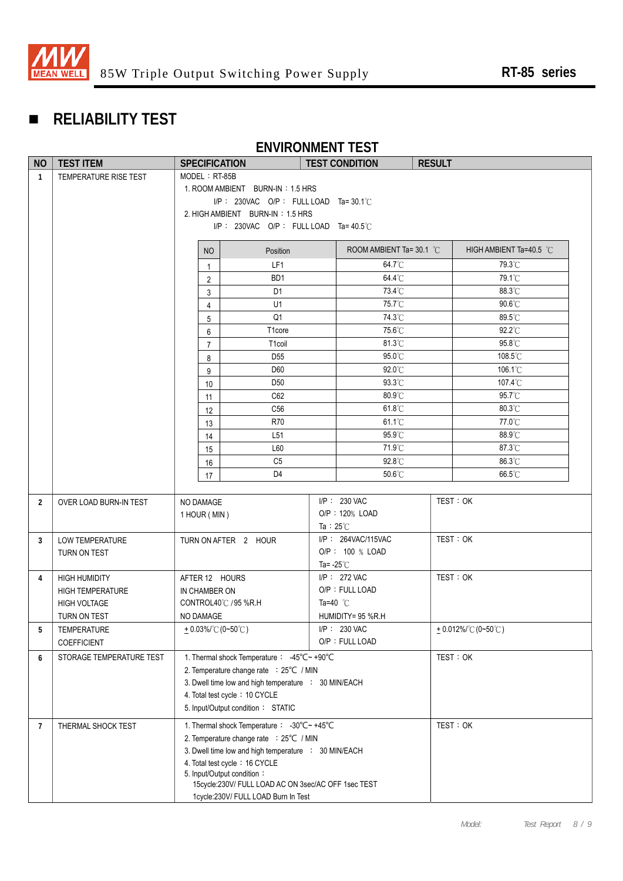

# **RELIABILITY TEST**

# **ENVIRONMENT TEST**

| <b>NO</b>      | <b>TEST ITEM</b>         | <b>SPECIFICATION</b>                                                              |                                    | <b>TEST CONDITION</b>              | <b>RESULT</b> |                            |
|----------------|--------------------------|-----------------------------------------------------------------------------------|------------------------------------|------------------------------------|---------------|----------------------------|
| $\mathbf{1}$   | TEMPERATURE RISE TEST    | MODEL: RT-85B                                                                     |                                    |                                    |               |                            |
|                |                          | 1. ROOM AMBIENT BURN-IN: 1.5 HRS                                                  |                                    |                                    |               |                            |
|                |                          | $I/P$ : 230VAC O/P: FULL LOAD Ta=30.1°C                                           |                                    |                                    |               |                            |
|                |                          | 2. HIGH AMBIENT BURN-IN: 1.5 HRS                                                  |                                    |                                    |               |                            |
|                |                          | $I/P$ : 230VAC O/P: FULL LOAD Ta=40.5°C                                           |                                    |                                    |               |                            |
|                |                          | Position<br>NO                                                                    |                                    | ROOM AMBIENT Ta= 30.1 $^{\circ}$ C |               | HIGH AMBIENT Ta=40.5 °C    |
|                |                          | LF1<br>$\mathbf{1}$                                                               |                                    | 64.7°C                             |               | 79.3°C                     |
|                |                          | BD <sub>1</sub><br>$\overline{2}$                                                 |                                    | 64.4°C                             |               | 79.1°C                     |
|                |                          | D <sub>1</sub><br>3                                                               |                                    | 73.4°C                             |               | 88.3°C                     |
|                |                          | U1<br>$\overline{4}$                                                              |                                    | 75.7°C                             |               | 90.6°C                     |
|                |                          | Q <sub>1</sub><br>$5\phantom{.0}$                                                 |                                    | 74.3°C                             |               | 89.5°C                     |
|                |                          | T1core<br>6                                                                       |                                    | 75.6°C                             |               | 92.2°C                     |
|                |                          | T <sub>1</sub> coil<br>$\overline{7}$                                             |                                    | 81.3°C                             |               | 95.8°C                     |
|                |                          | D <sub>55</sub><br>8                                                              |                                    | 95.0°C                             |               | 108.5°C                    |
|                |                          | D60<br>9                                                                          |                                    | 92.0°C                             |               | 106.1°C                    |
|                |                          | D <sub>50</sub><br>10                                                             |                                    | 93.3°C                             |               | 107.4°C                    |
|                |                          | C62<br>11                                                                         |                                    | 80.9°C                             |               | 95.7°C                     |
|                |                          | C <sub>56</sub><br>12                                                             |                                    | 61.8°C                             |               | $80.3^{\circ}$ C           |
|                |                          | R70<br>13                                                                         |                                    | 61.1°C                             |               | 77.0°C                     |
|                |                          | L <sub>51</sub><br>14                                                             |                                    | 95.9°C                             |               | 88.9°C                     |
|                |                          | L60<br>15                                                                         |                                    | 71.9°C                             |               | 87.3°C                     |
|                |                          | C <sub>5</sub><br>16                                                              |                                    | 92.8°C                             |               | 86.3°C                     |
|                |                          | D <sub>4</sub><br>17                                                              |                                    | 50.6°C                             |               | 66.5°C                     |
| $\overline{2}$ | OVER LOAD BURN-IN TEST   | NO DAMAGE                                                                         |                                    | $I/P$ : 230 VAC                    | TEST: OK      |                            |
|                |                          | 1 HOUR (MIN)                                                                      |                                    | O/P: 120% LOAD                     |               |                            |
|                |                          |                                                                                   |                                    | Ta : $25^{\circ}$ C                |               |                            |
| 3              | <b>LOW TEMPERATURE</b>   | TURN ON AFTER 2 HOUR                                                              |                                    | I/P: 264VAC/115VAC                 | TEST: OK      |                            |
|                | TURN ON TEST             |                                                                                   |                                    | O/P: 100 % LOAD                    |               |                            |
|                |                          |                                                                                   |                                    | Ta= $-25^{\circ}$ C                |               |                            |
| 4              | <b>HIGH HUMIDITY</b>     | AFTER 12 HOURS                                                                    |                                    | I/P: 272 VAC                       | TEST: OK      |                            |
|                | <b>HIGH TEMPERATURE</b>  | IN CHAMBER ON                                                                     |                                    | O/P: FULL LOAD                     |               |                            |
|                | <b>HIGH VOLTAGE</b>      | CONTROL40°C / 95 %R.H                                                             |                                    | Ta=40 $^{\circ}$ C                 |               |                            |
|                | TURN ON TEST             | NO DAMAGE                                                                         |                                    | HUMIDITY= 95 %R.H                  |               |                            |
| 5              | <b>TEMPERATURE</b>       |                                                                                   | $+0.03\%$ (0~50°C)<br>I/P: 230 VAC |                                    |               | <u>+</u> 0.012%/℃ (0~50℃ ) |
|                | COEFFICIENT              | O/P: FULL LOAD                                                                    |                                    |                                    |               |                            |
| 6              | STORAGE TEMPERATURE TEST | 1. Thermal shock Temperature: -45°C~ +90°C                                        |                                    |                                    | TEST: OK      |                            |
|                |                          | 2. Temperature change rate : 25°C / MIN                                           |                                    |                                    |               |                            |
|                |                          | 3. Dwell time low and high temperature : 30 MIN/EACH                              |                                    |                                    |               |                            |
|                |                          | 4. Total test cycle: 10 CYCLE                                                     |                                    |                                    |               |                            |
|                |                          | 5. Input/Output condition: STATIC                                                 |                                    |                                    |               |                            |
| $\overline{7}$ | THERMAL SHOCK TEST       | 1. Thermal shock Temperature: -30°C~+45°C                                         |                                    |                                    | TEST: OK      |                            |
|                |                          | 2. Temperature change rate : 25°C / MIN                                           |                                    |                                    |               |                            |
|                |                          | 3. Dwell time low and high temperature : 30 MIN/EACH                              |                                    |                                    |               |                            |
|                |                          | 4. Total test cycle: 16 CYCLE                                                     |                                    |                                    |               |                            |
|                |                          | 5. Input/Output condition:<br>15cycle:230V/ FULL LOAD AC ON 3sec/AC OFF 1sec TEST |                                    |                                    |               |                            |
|                |                          | 1cycle:230V/ FULL LOAD Burn In Test                                               |                                    |                                    |               |                            |